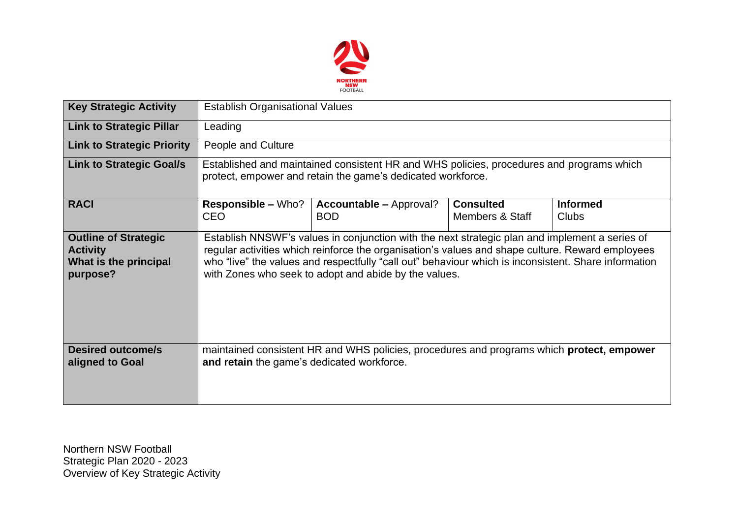

| <b>Key Strategic Activity</b>                                                       | <b>Establish Organisational Values</b>                                                                                                                                                                                                                                                                                                                              |                                                                                                  |                                     |                          |  |  |  |
|-------------------------------------------------------------------------------------|---------------------------------------------------------------------------------------------------------------------------------------------------------------------------------------------------------------------------------------------------------------------------------------------------------------------------------------------------------------------|--------------------------------------------------------------------------------------------------|-------------------------------------|--------------------------|--|--|--|
| <b>Link to Strategic Pillar</b>                                                     | Leading                                                                                                                                                                                                                                                                                                                                                             |                                                                                                  |                                     |                          |  |  |  |
| <b>Link to Strategic Priority</b>                                                   | People and Culture                                                                                                                                                                                                                                                                                                                                                  |                                                                                                  |                                     |                          |  |  |  |
| <b>Link to Strategic Goal/s</b>                                                     | Established and maintained consistent HR and WHS policies, procedures and programs which<br>protect, empower and retain the game's dedicated workforce.                                                                                                                                                                                                             |                                                                                                  |                                     |                          |  |  |  |
| <b>RACI</b>                                                                         | <b>Responsible – Who?</b><br><b>CEO</b>                                                                                                                                                                                                                                                                                                                             | <b>Accountable – Approval?</b><br><b>BOD</b>                                                     | <b>Consulted</b><br>Members & Staff | <b>Informed</b><br>Clubs |  |  |  |
| <b>Outline of Strategic</b><br><b>Activity</b><br>What is the principal<br>purpose? | Establish NNSWF's values in conjunction with the next strategic plan and implement a series of<br>regular activities which reinforce the organisation's values and shape culture. Reward employees<br>who "live" the values and respectfully "call out" behaviour which is inconsistent. Share information<br>with Zones who seek to adopt and abide by the values. |                                                                                                  |                                     |                          |  |  |  |
| <b>Desired outcome/s</b><br>aligned to Goal                                         | and retain the game's dedicated workforce.                                                                                                                                                                                                                                                                                                                          | maintained consistent HR and WHS policies, procedures and programs which <b>protect, empower</b> |                                     |                          |  |  |  |

Northern NSW Football Strategic Plan 2020 - 2023 Overview of Key Strategic Activity